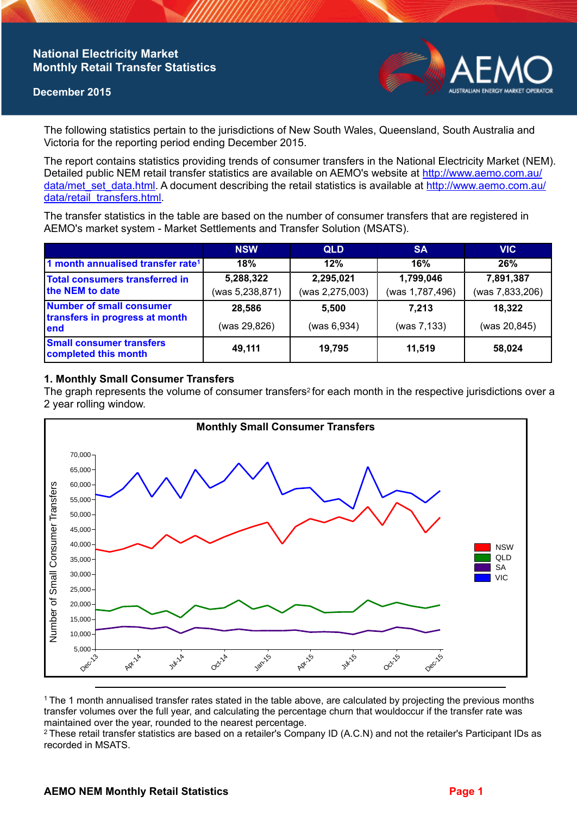# **National Electricity Market Monthly Retail Transfer Statistics**

#### **December 2015**



The following statistics pertain to the jurisdictions of New South Wales, Queensland, South Australia and Victoria for the reporting period ending December 2015.

The report contains statistics providing trends of consumer transfers in the National Electricity Market (NEM). Detailed public NEM retail transfer statistics are available on AEMO's website at [http://www.aemo.com.au/](http://www.aemo.com.au/data/met_set_data.html) [data/met\\_set\\_data.html](http://www.aemo.com.au/data/met_set_data.html). A document describing the retail statistics is available at [http://www.aemo.com.au/](http://www.aemo.com.au/data/retail_transfers.html) [data/retail\\_transfers.html](http://www.aemo.com.au/data/retail_transfers.html).

The transfer statistics in the table are based on the number of consumer transfers that are registered in AEMO's market system - Market Settlements and Transfer Solution (MSATS).

|                                                                    | <b>NSW</b>                   | <b>QLD</b>                   | <b>SA</b>                    | <b>VIC</b>                   |
|--------------------------------------------------------------------|------------------------------|------------------------------|------------------------------|------------------------------|
| 1 month annualised transfer rate <sup>1</sup>                      | 18%                          | 12%                          | 16%                          | 26%                          |
| <b>Total consumers transferred in</b><br>the NEM to date           | 5,288,322<br>(was 5,238,871) | 2,295,021<br>(was 2,275,003) | 1,799,046<br>(was 1,787,496) | 7,891,387<br>(was 7,833,206) |
| Number of small consumer<br>transfers in progress at month<br>lend | 28,586                       | 5.500                        | 7.213                        | 18,322                       |
|                                                                    | (was 29,826)                 | (was 6,934)                  | (was 7,133)                  | (was 20,845)                 |
| <b>Small consumer transfers</b><br>completed this month            | 49,111                       | 19,795                       | 11.519                       | 58,024                       |

### **1. Monthly Small Consumer Transfers**

The graph represents the volume of consumer transfers<sup>2</sup> for each month in the respective jurisdictions over a 2 year rolling window.



<sup>1</sup>The 1 month annualised transfer rates stated in the table above, are calculated by projecting the previous months transfer volumes over the full year, and calculating the percentage churn that wouldoccur if the transfer rate was maintained over the year, rounded to the nearest percentage.

<sup>2</sup> These retail transfer statistics are based on a retailer's Company ID (A.C.N) and not the retailer's Participant IDs as recorded in MSATS.